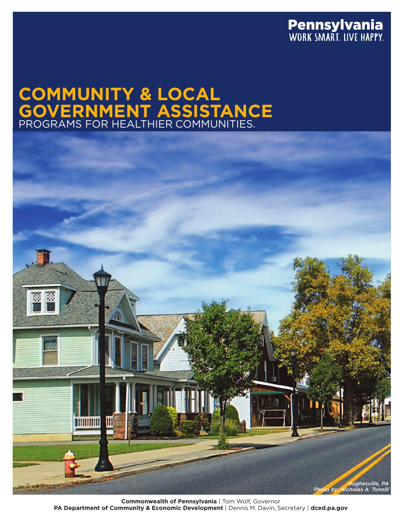

# **COMMUNITY & LOCAL GOVERNMENT ASSISTANCE** PROGRAMS FOR HEALTHIER COMMUNITIES.



**Commonwealth of Pennsylvania** | Tom Wolf, Governor **PA Department of Community & Economic Development** | Dennis M. Davin, Secretary | **dced.pa.gov**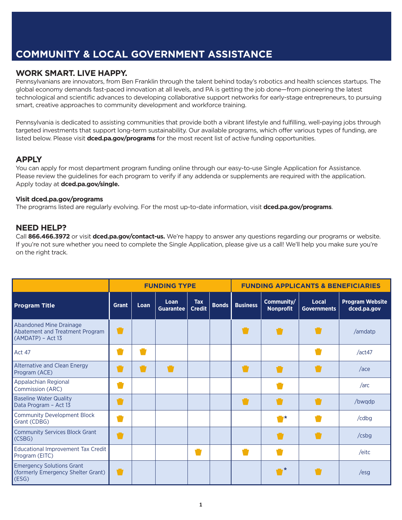## **COMMUNITY & LOCAL GOVERNMENT ASSISTANCE**

#### **WORK SMART. LIVE HAPPY.**

Pennsylvanians are innovators, from Ben Franklin through the talent behind today's robotics and health sciences startups. The global economy demands fast-paced innovation at all levels, and PA is getting the job done—from pioneering the latest technological and scientific advances to developing collaborative support networks for early-stage entrepreneurs, to pursuing smart, creative approaches to community development and workforce training.

Pennsylvania is dedicated to assisting communities that provide both a vibrant lifestyle and fulfilling, well-paying jobs through targeted investments that support long-term sustainability. Our available programs, which offer various types of funding, are listed below. Please visit **dced.pa.gov/programs** for the most recent list of active funding opportunities.

#### **APPLY**

You can apply for most department program funding online through our easy-to-use Single Application for Assistance. Please review the guidelines for each program to verify if any addenda or supplements are required with the application. Apply today at **dced.pa.gov/single.**

#### **Visit dced.pa.gov/programs**

The programs listed are regularly evolving. For the most up-to-date information, visit **dced.pa.gov/programs**.

#### **NEED HELP?**

Call **866.466.3972** or visit **dced.pa.gov/contact-us.** We're happy to answer any questions regarding our programs or website. If you're not sure whether you need to complete the Single Application, please give us a call! We'll help you make sure you're on the right track.

|                                                                                        |              |      | <b>FUNDING TYPE</b>      |                             |              | <b>FUNDING APPLICANTS &amp; BENEFICIARIES</b> |                                |                             |                                       |  |
|----------------------------------------------------------------------------------------|--------------|------|--------------------------|-----------------------------|--------------|-----------------------------------------------|--------------------------------|-----------------------------|---------------------------------------|--|
| <b>Program Title</b>                                                                   | <b>Grant</b> | Loan | Loan<br><b>Guarantee</b> | <b>Tax</b><br><b>Credit</b> | <b>Bonds</b> | <b>Business</b>                               | Community/<br><b>Nonprofit</b> | Local<br><b>Governments</b> | <b>Program Website</b><br>dced.pa.gov |  |
| <b>Abandoned Mine Drainage</b><br>Abatement and Treatment Program<br>(AMDATP) - Act 13 |              |      |                          |                             |              |                                               | ū                              |                             | /amdatp                               |  |
| Act 47                                                                                 |              |      |                          |                             |              |                                               |                                |                             | /act47                                |  |
| Alternative and Clean Energy<br>Program (ACE)                                          |              |      |                          |                             |              |                                               |                                |                             | $/$ ace                               |  |
| Appalachian Regional<br>Commission (ARC)                                               |              |      |                          |                             |              |                                               |                                |                             | /arc                                  |  |
| <b>Baseline Water Quality</b><br>Data Program - Act 13                                 |              |      |                          |                             |              | U                                             |                                |                             | /bwqdp                                |  |
| <b>Community Development Block</b><br>Grant (CDBG)                                     |              |      |                          |                             |              |                                               | $\blacksquare$                 |                             | /cdbg                                 |  |
| <b>Community Services Block Grant</b><br>(CSBG)                                        |              |      |                          |                             |              |                                               |                                |                             | /csbg                                 |  |
| <b>Educational Improvement Tax Credit</b><br>Program (EITC)                            |              |      |                          |                             |              |                                               |                                |                             | /eitc                                 |  |
| <b>Emergency Solutions Grant</b><br>(formerly Emergency Shelter Grant)<br>(ESS)        |              |      |                          |                             |              |                                               | -*                             |                             | $\sqrt{esq}$                          |  |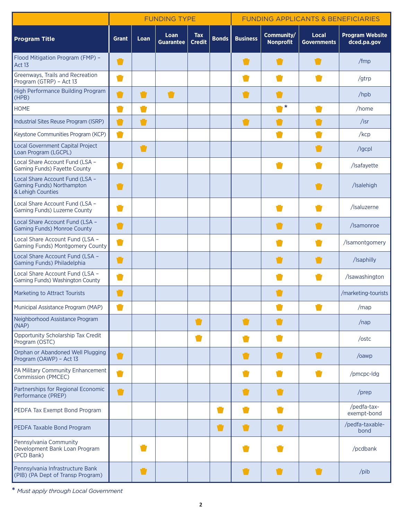|                                                                                          | <b>FUNDING TYPE</b> |                |                          |                             |              | <b>FUNDING APPLICANTS &amp; BENEFICIARIES</b> |                                |                             |                                       |  |
|------------------------------------------------------------------------------------------|---------------------|----------------|--------------------------|-----------------------------|--------------|-----------------------------------------------|--------------------------------|-----------------------------|---------------------------------------|--|
| <b>Program Title</b>                                                                     | <b>Grant</b>        | Loan           | Loan<br><b>Guarantee</b> | <b>Tax</b><br><b>Credit</b> | <b>Bonds</b> | <b>Business</b>                               | Community/<br><b>Nonprofit</b> | Local<br><b>Governments</b> | <b>Program Website</b><br>dced.pa.gov |  |
| Flood Mitigation Program (FMP) -<br>Act 13                                               |                     |                |                          |                             |              | Ū                                             |                                |                             | /fmp                                  |  |
| Greenways, Trails and Recreation<br>Program (GTRP) - Act 13                              |                     |                |                          |                             |              |                                               |                                |                             | /gtrp                                 |  |
| High Performance Building Program<br>(HPB)                                               |                     | $\blacksquare$ | U                        |                             |              | U                                             |                                |                             | /hpb                                  |  |
| <b>HOME</b>                                                                              |                     | Ō              |                          |                             |              |                                               | $\bullet^{\star}$              | Ū                           | /home                                 |  |
| Industrial Sites Reuse Program (ISRP)                                                    | Ū                   | $\blacksquare$ |                          |                             |              | Ū                                             |                                |                             | $/$ isr                               |  |
| Keystone Communities Program (KCP)                                                       | Ū                   |                |                          |                             |              |                                               | o i                            |                             | /kcp                                  |  |
| Local Government Capital Project<br>Loan Program (LGCPL)                                 |                     | $\blacksquare$ |                          |                             |              |                                               |                                |                             | /Igcpl                                |  |
| Local Share Account Fund (LSA -<br><b>Gaming Funds) Fayette County</b>                   |                     |                |                          |                             |              |                                               |                                |                             | /Isafayette                           |  |
| Local Share Account Fund (LSA -<br><b>Gaming Funds) Northampton</b><br>& Lehigh Counties |                     |                |                          |                             |              |                                               |                                |                             | /Isalehigh                            |  |
| Local Share Account Fund (LSA -<br>Gaming Funds) Luzerne County                          |                     |                |                          |                             |              |                                               |                                |                             | /Isaluzerne                           |  |
| Local Share Account Fund (LSA -<br><b>Gaming Funds) Monroe County</b>                    |                     |                |                          |                             |              |                                               |                                |                             | /Isamonroe                            |  |
| Local Share Account Fund (LSA -<br><b>Gaming Funds) Montgomery County</b>                | O                   |                |                          |                             |              |                                               |                                |                             | /Isamontgomery                        |  |
| Local Share Account Fund (LSA -<br>Gaming Funds) Philadelphia                            | U                   |                |                          |                             |              |                                               |                                |                             | /Isaphilly                            |  |
| Local Share Account Fund (LSA -<br>Gaming Funds) Washington County                       |                     |                |                          |                             |              |                                               |                                |                             | /Isawashington                        |  |
| Marketing to Attract Tourists                                                            |                     |                |                          |                             |              |                                               |                                |                             | /marketing-tourists                   |  |
| Municipal Assistance Program (MAP)                                                       |                     |                |                          |                             |              |                                               |                                |                             | /map                                  |  |
| Neighborhood Assistance Program<br>(NAP)                                                 |                     |                |                          | Ū                           |              | U                                             |                                |                             | $/$ nap                               |  |
| Opportunity Scholarship Tax Credit<br>Program (OSTC)                                     |                     |                |                          | k.                          |              |                                               |                                |                             | /ostc                                 |  |
| Orphan or Abandoned Well Plugging<br>Program (OAWP) - Act 13                             | U                   |                |                          |                             |              | $\blacksquare$                                |                                |                             | /oawp                                 |  |
| PA Military Community Enhancement<br>Commission (PMCEC)                                  |                     |                |                          |                             |              |                                               |                                |                             | /pmcpc-ldg                            |  |
| Partnerships for Regional Economic<br>Performance (PREP)                                 |                     |                |                          |                             |              |                                               |                                |                             | /prep                                 |  |
| PEDFA Tax Exempt Bond Program                                                            |                     |                |                          |                             | v.           |                                               |                                |                             | /pedfa-tax-<br>exempt-bond            |  |
| PEDFA Taxable Bond Program                                                               |                     |                |                          |                             | U            | Ù                                             |                                |                             | /pedfa-taxable-<br>bond               |  |
| Pennsylvania Community<br>Development Bank Loan Program<br>(PCD Bank)                    |                     |                |                          |                             |              |                                               |                                |                             | /pcdbank                              |  |
| Pennsylvania Infrastructure Bank<br>(PIB) (PA Dept of Transp Program)                    |                     | Ù              |                          |                             |              | Ū                                             |                                |                             | /pib                                  |  |

**\*** *Must apply through Local Government*